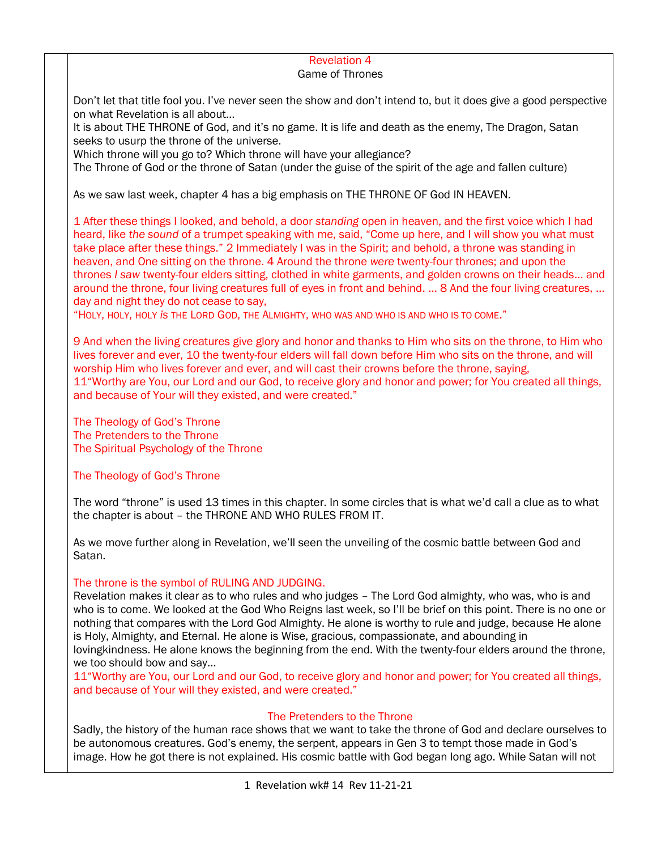### Revelation 4

#### Game of Thrones

Don't let that title fool you. I've never seen the show and don't intend to, but it does give a good perspective on what Revelation is all about…

It is about THE THRONE of God, and it's no game. It is life and death as the enemy, The Dragon, Satan seeks to usurp the throne of the universe.

Which throne will you go to? Which throne will have your allegiance?

The Throne of God or the throne of Satan (under the guise of the spirit of the age and fallen culture)

As we saw last week, chapter 4 has a big emphasis on THE THRONE OF God IN HEAVEN.

1 After these things I looked, and behold, a door *standing* open in heaven, and the first voice which I had heard, like *the sound* of a trumpet speaking with me, said, "Come up here, and I will show you what must take place after these things." 2 Immediately I was in the Spirit; and behold, a throne was standing in heaven, and One sitting on the throne. 4 Around the throne *were* twenty-four thrones; and upon the thrones *I saw* twenty-four elders sitting, clothed in white garments, and golden crowns on their heads… and around the throne, four living creatures full of eyes in front and behind. … 8 And the four living creatures, … day and night they do not cease to say,

"HOLY, HOLY, HOLY *is* THE LORD GOD, THE ALMIGHTY, WHO WAS AND WHO IS AND WHO IS TO COME."

9 And when the living creatures give glory and honor and thanks to Him who sits on the throne, to Him who lives forever and ever, 10 the twenty-four elders will fall down before Him who sits on the throne, and will worship Him who lives forever and ever, and will cast their crowns before the throne, saying, 11"Worthy are You, our Lord and our God, to receive glory and honor and power; for You created all things, and because of Your will they existed, and were created."

The Theology of God's Throne The Pretenders to the Throne The Spiritual Psychology of the Throne

### The Theology of God's Throne

The word "throne" is used 13 times in this chapter. In some circles that is what we'd call a clue as to what the chapter is about – the THRONE AND WHO RULES FROM IT.

As we move further along in Revelation, we'll seen the unveiling of the cosmic battle between God and Satan.

#### The throne is the symbol of RULING AND JUDGING.

Revelation makes it clear as to who rules and who judges – The Lord God almighty, who was, who is and who is to come. We looked at the God Who Reigns last week, so I'll be brief on this point. There is no one or nothing that compares with the Lord God Almighty. He alone is worthy to rule and judge, because He alone is Holy, Almighty, and Eternal. He alone is Wise, gracious, compassionate, and abounding in lovingkindness. He alone knows the beginning from the end. With the twenty-four elders around the throne, we too should bow and say…

11"Worthy are You, our Lord and our God, to receive glory and honor and power; for You created all things, and because of Your will they existed, and were created."

### The Pretenders to the Throne

Sadly, the history of the human race shows that we want to take the throne of God and declare ourselves to be autonomous creatures. God's enemy, the serpent, appears in Gen 3 to tempt those made in God's image. How he got there is not explained. His cosmic battle with God began long ago. While Satan will not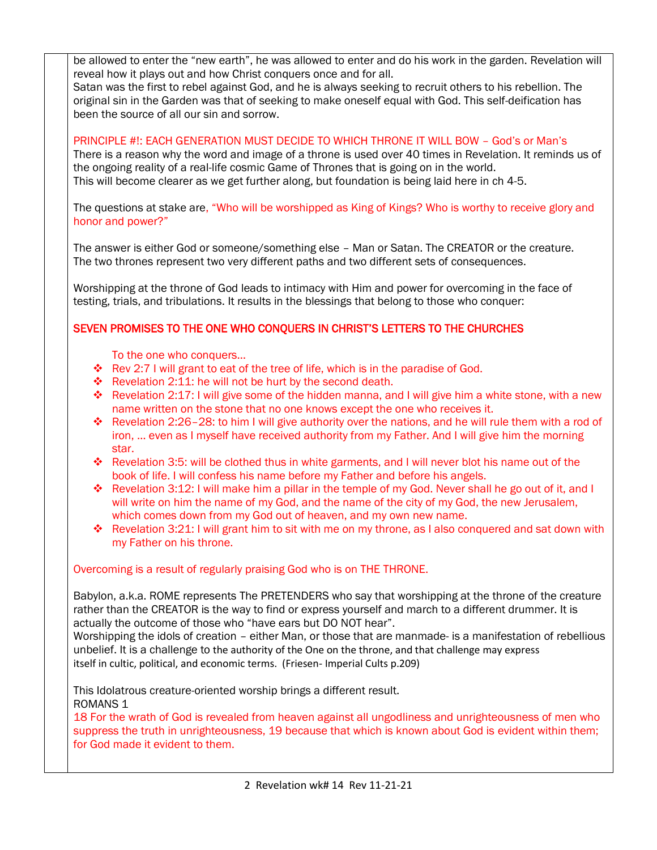be allowed to enter the "new earth", he was allowed to enter and do his work in the garden. Revelation will reveal how it plays out and how Christ conquers once and for all.

Satan was the first to rebel against God, and he is always seeking to recruit others to his rebellion. The original sin in the Garden was that of seeking to make oneself equal with God. This self-deification has been the source of all our sin and sorrow.

#### PRINCIPLE #!: EACH GENERATION MUST DECIDE TO WHICH THRONE IT WILL BOW – God's or Man's

There is a reason why the word and image of a throne is used over 40 times in Revelation. It reminds us of the ongoing reality of a real-life cosmic Game of Thrones that is going on in the world. This will become clearer as we get further along, but foundation is being laid here in ch 4-5.

The questions at stake are, "Who will be worshipped as King of Kings? Who is worthy to receive glory and honor and power?"

The answer is either God or someone/something else – Man or Satan. The CREATOR or the creature. The two thrones represent two very different paths and two different sets of consequences.

Worshipping at the throne of God leads to intimacy with Him and power for overcoming in the face of testing, trials, and tribulations. It results in the blessings that belong to those who conquer:

# SEVEN PROMISES TO THE ONE WHO CONQUERS IN CHRIST'S LETTERS TO THE CHURCHES

To the one who conquers…

- ◆ Rev 2:7 I will grant to eat of the tree of life, which is in the paradise of God.
- ❖ Revelation 2:11: he will not be hurt by the second death.
- ❖ Revelation 2:17: I will give some of the hidden manna, and I will give him a white stone, with a new name written on the stone that no one knows except the one who receives it.
- ❖ Revelation 2:26–28: to him I will give authority over the nations, and he will rule them with a rod of iron, … even as I myself have received authority from my Father. And I will give him the morning star.
- ❖ Revelation 3:5: will be clothed thus in white garments, and I will never blot his name out of the book of life. I will confess his name before my Father and before his angels.
- ❖ Revelation 3:12: I will make him a pillar in the temple of my God. Never shall he go out of it, and I will write on him the name of my God, and the name of the city of my God, the new Jerusalem, which comes down from my God out of heaven, and my own new name.
- $♦$  Revelation 3:21: I will grant him to sit with me on my throne, as I also conquered and sat down with my Father on his throne.

### Overcoming is a result of regularly praising God who is on THE THRONE.

Babylon, a.k.a. ROME represents The PRETENDERS who say that worshipping at the throne of the creature rather than the CREATOR is the way to find or express yourself and march to a different drummer. It is actually the outcome of those who "have ears but DO NOT hear".

Worshipping the idols of creation – either Man, or those that are manmade- is a manifestation of rebellious unbelief. It is a challenge to the authority of the One on the throne, and that challenge may express itself in cultic, political, and economic terms. (Friesen- Imperial Cults p.209)

This Idolatrous creature-oriented worship brings a different result. ROMANS 1

18 For the wrath of God is revealed from heaven against all ungodliness and unrighteousness of men who suppress the truth in unrighteousness, 19 because that which is known about God is evident within them; for God made it evident to them.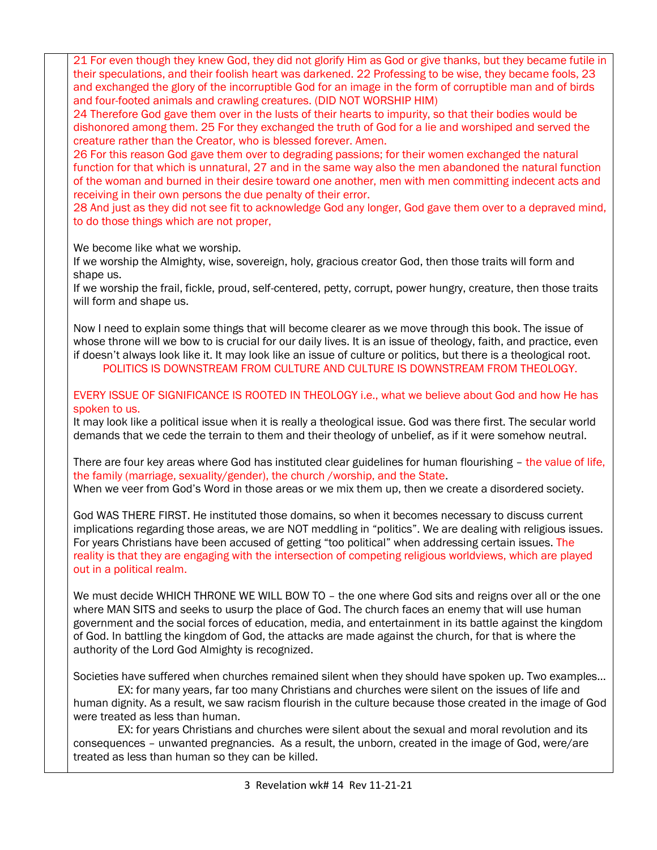21 For even though they knew God, they did not glorify Him as God or give thanks, but they became futile in their speculations, and their foolish heart was darkened. 22 Professing to be wise, they became fools, 23 and exchanged the glory of the incorruptible God for an image in the form of corruptible man and of birds and four-footed animals and crawling creatures. (DID NOT WORSHIP HIM)

24 Therefore God gave them over in the lusts of their hearts to impurity, so that their bodies would be dishonored among them. 25 For they exchanged the truth of God for a lie and worshiped and served the creature rather than the Creator, who is blessed forever. Amen.

26 For this reason God gave them over to degrading passions; for their women exchanged the natural function for that which is unnatural, 27 and in the same way also the men abandoned the natural function of the woman and burned in their desire toward one another, men with men committing indecent acts and receiving in their own persons the due penalty of their error.

28 And just as they did not see fit to acknowledge God any longer, God gave them over to a depraved mind, to do those things which are not proper,

We become like what we worship.

If we worship the Almighty, wise, sovereign, holy, gracious creator God, then those traits will form and shape us.

If we worship the frail, fickle, proud, self-centered, petty, corrupt, power hungry, creature, then those traits will form and shape us.

Now I need to explain some things that will become clearer as we move through this book. The issue of whose throne will we bow to is crucial for our daily lives. It is an issue of theology, faith, and practice, even if doesn't always look like it. It may look like an issue of culture or politics, but there is a theological root. POLITICS IS DOWNSTREAM FROM CULTURE AND CULTURE IS DOWNSTREAM FROM THEOLOGY.

EVERY ISSUE OF SIGNIFICANCE IS ROOTED IN THEOLOGY i.e., what we believe about God and how He has spoken to us.

It may look like a political issue when it is really a theological issue. God was there first. The secular world demands that we cede the terrain to them and their theology of unbelief, as if it were somehow neutral.

There are four key areas where God has instituted clear guidelines for human flourishing – the value of life, the family (marriage, sexuality/gender), the church /worship, and the State. When we veer from God's Word in those areas or we mix them up, then we create a disordered society.

God WAS THERE FIRST. He instituted those domains, so when it becomes necessary to discuss current implications regarding those areas, we are NOT meddling in "politics". We are dealing with religious issues. For years Christians have been accused of getting "too political" when addressing certain issues. The reality is that they are engaging with the intersection of competing religious worldviews, which are played out in a political realm.

We must decide WHICH THRONE WE WILL BOW TO - the one where God sits and reigns over all or the one where MAN SITS and seeks to usurp the place of God. The church faces an enemy that will use human government and the social forces of education, media, and entertainment in its battle against the kingdom of God. In battling the kingdom of God, the attacks are made against the church, for that is where the authority of the Lord God Almighty is recognized.

Societies have suffered when churches remained silent when they should have spoken up. Two examples…

 EX: for many years, far too many Christians and churches were silent on the issues of life and human dignity. As a result, we saw racism flourish in the culture because those created in the image of God were treated as less than human.

 EX: for years Christians and churches were silent about the sexual and moral revolution and its consequences – unwanted pregnancies. As a result, the unborn, created in the image of God, were/are treated as less than human so they can be killed.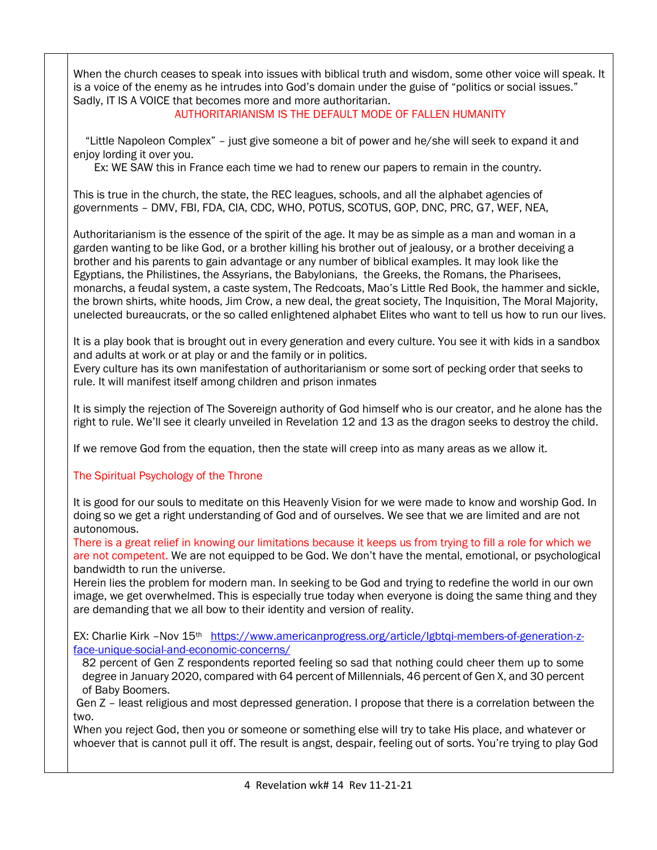When the church ceases to speak into issues with biblical truth and wisdom, some other voice will speak. It is a voice of the enemy as he intrudes into God's domain under the guise of "politics or social issues." Sadly, IT IS A VOICE that becomes more and more authoritarian.

# AUTHORITARIANISM IS THE DEFAULT MODE OF FALLEN HUMANITY

 "Little Napoleon Complex" – just give someone a bit of power and he/she will seek to expand it and enjoy lording it over you.

Ex: WE SAW this in France each time we had to renew our papers to remain in the country.

This is true in the church, the state, the REC leagues, schools, and all the alphabet agencies of governments – DMV, FBI, FDA, CIA, CDC, WHO, POTUS, SCOTUS, GOP, DNC, PRC, G7, WEF, NEA,

Authoritarianism is the essence of the spirit of the age. It may be as simple as a man and woman in a garden wanting to be like God, or a brother killing his brother out of jealousy, or a brother deceiving a brother and his parents to gain advantage or any number of biblical examples. It may look like the Egyptians, the Philistines, the Assyrians, the Babylonians, the Greeks, the Romans, the Pharisees, monarchs, a feudal system, a caste system, The Redcoats, Mao's Little Red Book, the hammer and sickle, the brown shirts, white hoods, Jim Crow, a new deal, the great society, The Inquisition, The Moral Majority, unelected bureaucrats, or the so called enlightened alphabet Elites who want to tell us how to run our lives.

It is a play book that is brought out in every generation and every culture. You see it with kids in a sandbox and adults at work or at play or and the family or in politics.

Every culture has its own manifestation of authoritarianism or some sort of pecking order that seeks to rule. It will manifest itself among children and prison inmates

It is simply the rejection of The Sovereign authority of God himself who is our creator, and he alone has the right to rule. We'll see it clearly unveiled in Revelation 12 and 13 as the dragon seeks to destroy the child.

If we remove God from the equation, then the state will creep into as many areas as we allow it.

# The Spiritual Psychology of the Throne

It is good for our souls to meditate on this Heavenly Vision for we were made to know and worship God. In doing so we get a right understanding of God and of ourselves. We see that we are limited and are not autonomous.

There is a great relief in knowing our limitations because it keeps us from trying to fill a role for which we are not competent. We are not equipped to be God. We don't have the mental, emotional, or psychological bandwidth to run the universe.

Herein lies the problem for modern man. In seeking to be God and trying to redefine the world in our own image, we get overwhelmed. This is especially true today when everyone is doing the same thing and they are demanding that we all bow to their identity and version of reality.

EX: Charlie Kirk -Nov 15<sup>th</sup> [https://www.americanprogress.org/article/lgbtqi-members-of-generation-z](https://www.americanprogress.org/article/lgbtqi-members-of-generation-z-face-unique-social-and-economic-concerns/)[face-unique-social-and-economic-concerns/](https://www.americanprogress.org/article/lgbtqi-members-of-generation-z-face-unique-social-and-economic-concerns/)

82 percent of Gen Z respondents reported feeling so sad that nothing could cheer them up to some degree in January 2020, compared with 64 percent of Millennials, 46 percent of Gen X, and 30 percent of Baby Boomers.

Gen Z – least religious and most depressed generation. I propose that there is a correlation between the two.

When you reject God, then you or someone or something else will try to take His place, and whatever or whoever that is cannot pull it off. The result is angst, despair, feeling out of sorts. You're trying to play God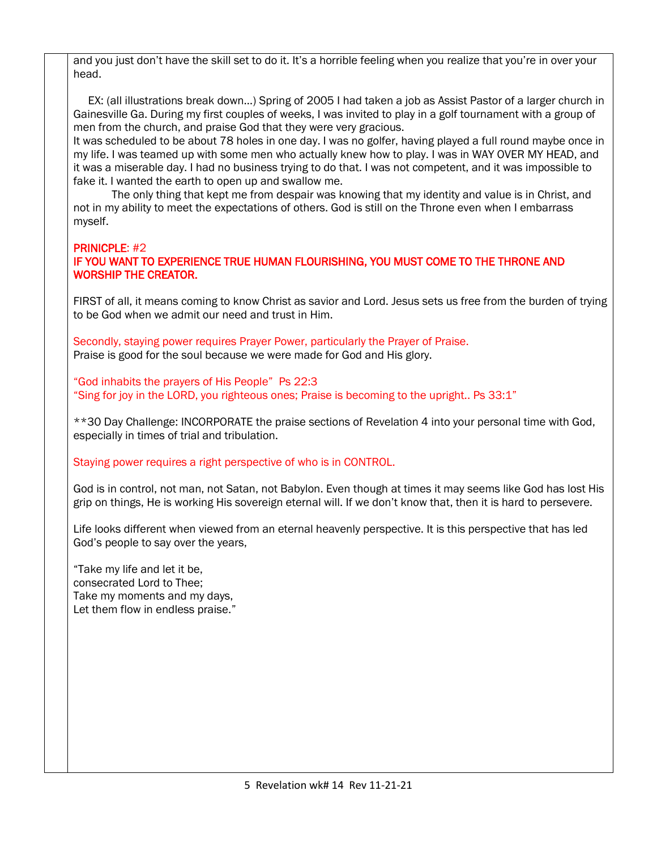and you just don't have the skill set to do it. It's a horrible feeling when you realize that you're in over your head.

 EX: (all illustrations break down…) Spring of 2005 I had taken a job as Assist Pastor of a larger church in Gainesville Ga. During my first couples of weeks, I was invited to play in a golf tournament with a group of men from the church, and praise God that they were very gracious.

It was scheduled to be about 78 holes in one day. I was no golfer, having played a full round maybe once in my life. I was teamed up with some men who actually knew how to play. I was in WAY OVER MY HEAD, and it was a miserable day. I had no business trying to do that. I was not competent, and it was impossible to fake it. I wanted the earth to open up and swallow me.

 The only thing that kept me from despair was knowing that my identity and value is in Christ, and not in my ability to meet the expectations of others. God is still on the Throne even when I embarrass myself.

# PRINICPLE: #2

### IF YOU WANT TO EXPERIENCE TRUE HUMAN FLOURISHING, YOU MUST COME TO THE THRONE AND WORSHIP THE CREATOR.

FIRST of all, it means coming to know Christ as savior and Lord. Jesus sets us free from the burden of trying to be God when we admit our need and trust in Him.

Secondly, staying power requires Prayer Power, particularly the Prayer of Praise. Praise is good for the soul because we were made for God and His glory.

"God inhabits the prayers of His People" Ps 22:3 "Sing for joy in the LORD, you righteous ones; Praise is becoming to the upright.. Ps 33:1"

\*\*30 Day Challenge: INCORPORATE the praise sections of Revelation 4 into your personal time with God, especially in times of trial and tribulation.

#### Staying power requires a right perspective of who is in CONTROL.

God is in control, not man, not Satan, not Babylon. Even though at times it may seems like God has lost His grip on things, He is working His sovereign eternal will. If we don't know that, then it is hard to persevere.

Life looks different when viewed from an eternal heavenly perspective. It is this perspective that has led God's people to say over the years,

"Take my life and let it be, consecrated Lord to Thee; Take my moments and my days, Let them flow in endless praise."